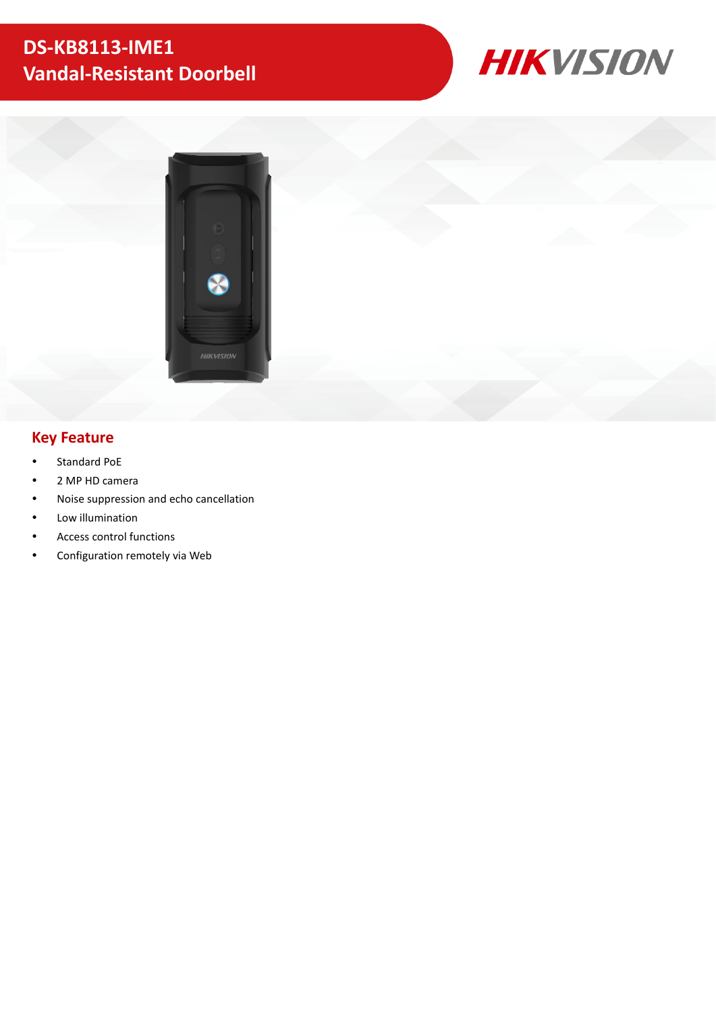# **DS-KB8113-IME1 Vandal-Resistant Doorbell**





### **Key Feature**

- Standard PoE
- 2 MP HD camera
- Noise suppression and echo cancellation
- Low illumination
- Access control functions
- Configuration remotely via Web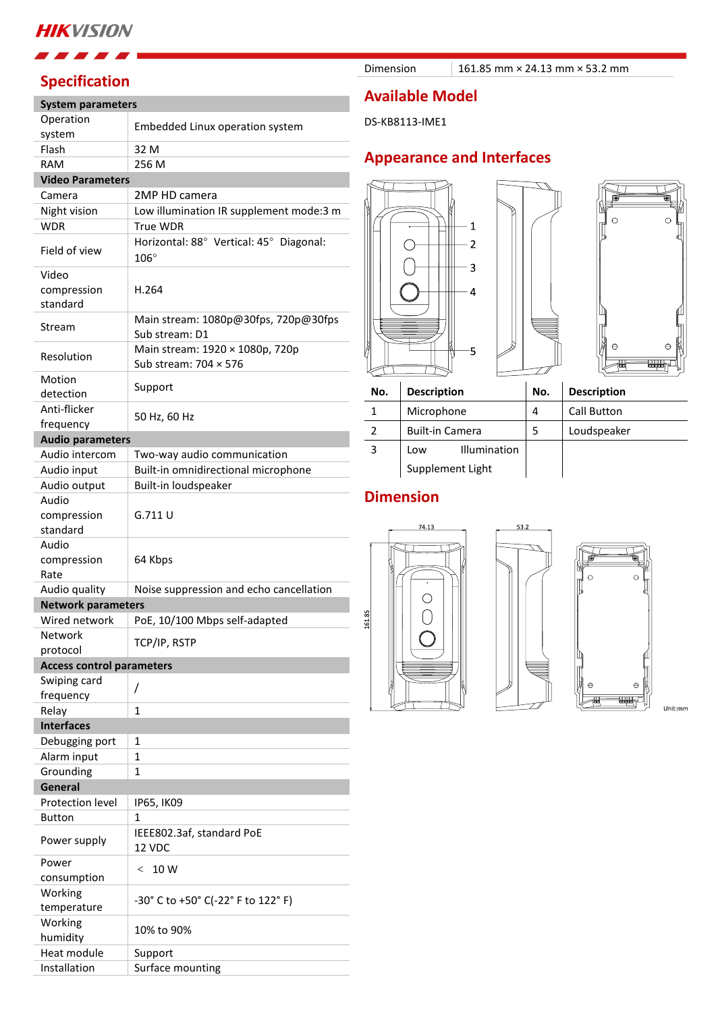### **HIKVISION**

## **Specification**

#### **System parameters**

| Operation                        | Embedded Linux operation system                                 |
|----------------------------------|-----------------------------------------------------------------|
| system<br>Flash                  | 32 M                                                            |
| <b>RAM</b>                       | 256 M                                                           |
| <b>Video Parameters</b>          |                                                                 |
| Camera                           | 2MP HD camera                                                   |
| Night vision                     | Low illumination IR supplement mode:3 m                         |
| <b>WDR</b>                       | <b>True WDR</b>                                                 |
| Field of view                    | Horizontal: 88° Vertical: 45° Diagonal:<br>$106^\circ$          |
| Video<br>compression             | H.264                                                           |
| standard                         |                                                                 |
| Stream                           | Main stream: 1080p@30fps, 720p@30fps<br>Sub stream: D1          |
| Resolution                       | Main stream: 1920 × 1080p, 720p<br>Sub stream: $704 \times 576$ |
| Motion<br>detection              | Support                                                         |
| Anti-flicker                     |                                                                 |
| frequency                        | 50 Hz, 60 Hz                                                    |
| <b>Audio parameters</b>          |                                                                 |
| Audio intercom                   | Two-way audio communication                                     |
| Audio input                      | Built-in omnidirectional microphone                             |
| Audio output                     | Built-in loudspeaker                                            |
| Audio                            |                                                                 |
| compression                      | G.711 U                                                         |
| standard                         |                                                                 |
| Audio                            |                                                                 |
| compression<br>Rate              | 64 Kbps                                                         |
| Audio quality                    | Noise suppression and echo cancellation                         |
| <b>Network parameters</b>        |                                                                 |
| Wired network                    | PoE, 10/100 Mbps self-adapted                                   |
| Network                          | TCP/IP, RSTP                                                    |
| protocol                         |                                                                 |
| <b>Access control parameters</b> |                                                                 |
| Swiping card<br>frequency        | Τ                                                               |
| Relay                            | 1                                                               |
| <b>Interfaces</b>                |                                                                 |
| Debugging port                   | 1                                                               |
| Alarm input                      | 1                                                               |
| Grounding                        | $\mathbf{1}$                                                    |
| General                          |                                                                 |
| Protection level                 | IP65, IK09                                                      |
| <b>Button</b>                    | 1                                                               |
| Power supply                     | IEEE802.3af, standard PoE<br>12 VDC                             |
| Power                            | 10 W<br>$\,<\,$                                                 |
| consumption                      |                                                                 |
| Working                          | -30° C to +50° C(-22° F to 122° F)                              |
| temperature                      |                                                                 |
| Working<br>humidity              | 10% to 90%                                                      |
| Heat module                      | Support                                                         |
| Installation                     | Surface mounting                                                |

Dimension 161.85 mm × 24.13 mm × 53.2 mm

### **Available Model**

DS-KB8113-IME1

### **Appearance and Interfaces**





**No. Description No. Description**

1 | Microphone | 4 | Call Button 2 | Built-in Camera | 5 | Loudspeaker 3 Low Illumination Supplement Light

### **Dimension**





Unit:mm